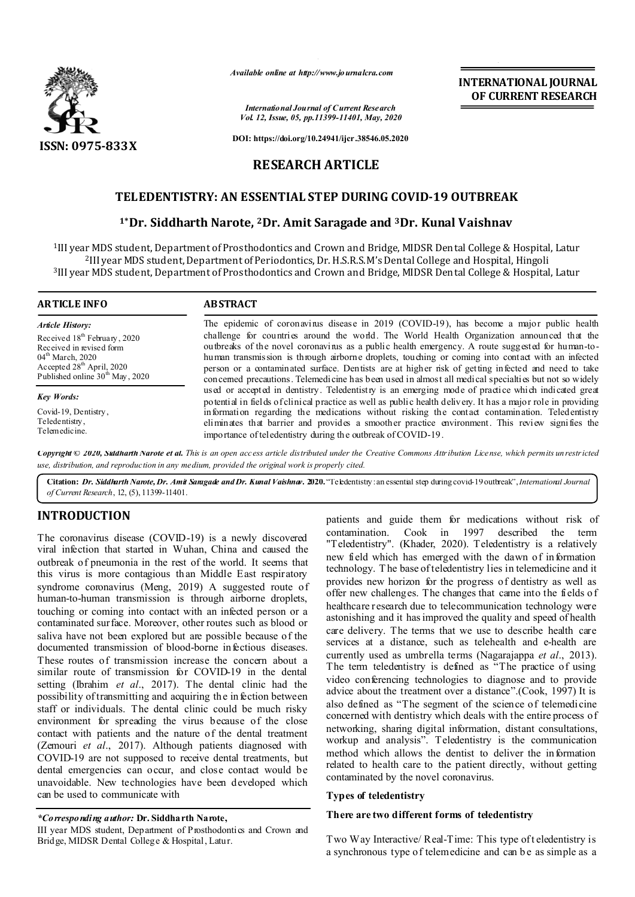

*Available online at http://www.journalcra.com*

*International Journal of Current Research Vol. 12, Issue, 05, pp.11399-11401, May, 2020*

**DOI: https://doi.org/10.24941/ijcr.38546.05.2020**

# **RESEARCH ARTICLE**

# **TELEDENTISTRY: AN ESSENTIAL STEP DURING COVID-19 OUTBREAK**

## **1\*Dr. Siddharth Narote, 2Dr. Amit Saragade and 3Dr. Kunal Vaishnav**

1III year MDS student, Department of Prosthodontics and Crown and Bridge, MIDSR Dental College & Hospital, Latur 2III year MDS student, Department of Periodontics, Dr. H.S.R.S.M's Dental College and Hospital, Hingoli 3III year MDS student, Department of Prosthodontics and Crown and Bridge, MIDSR Dental College & Hospital, Latur

#### **ARTICLE INFO ABSTRACT**

*Article History:* Received 18<sup>th</sup> February, 2020 Received in revised form 04<sup>th</sup> March, 2020 Accepted  $28<sup>th</sup>$  April, 2020 Published online  $30<sup>th</sup>$  May, 2020

*Key Words:*

Covid-19, Dentistry , Teledentistry, Telemedicine.

The epidemic of coronavirus disease in 2019 (COVID-19), has become a major public health challenge for countries around the world. The World Health Organization announced that the outbreaks of the novel coronavirus as a public health emergency. A route suggested for human-tohuman transmission is through airborne droplets, touching or coming into contact with an infected person or a contaminated surface. Dentists are at higher risk of getting infected and need to take concerned precautions. Telemedicine has been used in almost all medical specialties but not so widely used or accepted in dentistry. Teledentistry is an emerging mode of practice which indicated great potential in fields of clinical practice as well as public health delivery. It has a major role in providing information regarding the medications without risking the contact contamination. Teledentistry eliminates that barrier and provides a smoother practice environment. This review signifies the importance of teledentistry during the outbreak of COVID-19.

Copyright © 2020, Siddharth Narote et al. This is an open access article distributed under the Creative Commons Attribution License, which permits unrestricted *use, distribution, and reproduction in any medium, provided the original work is properly cited.*

Citation: *Dr. Siddharth Narote, Dr. Amit Sangade and Dr. Kunal Vaishnav. 2020.* "Teledentistry: an essential step during covid-19 outbreak", *International Journal of Current Research*, 12, (5), 11399-11401.

# **INTRODUCTION**

The coronavirus disease (COVID-19) is a newly discovered viral infection that started in Wuhan, China and caused the outbreak of pneumonia in the rest of the world. It seems that this virus is more contagious than Middle East respiratory syndrome coronavirus (Meng, 2019) A suggested route of human-to-human transmission is through airborne droplets, touching or coming into contact with an infected person or a contaminated surface. Moreover, other routes such as blood or saliva have not been explored but are possible because of the documented transmission of blood-borne infectious diseases. These routes of transmission increase the concern about a similar route of transmission for COVID-19 in the dental setting (Ibrahim *et al*., 2017). The dental clinic had the possibility of transmitting and acquiring the in fection between staff or individuals. The dental clinic could be much risky environment for spreading the virus because of the close contact with patients and the nature of the dental treatment (Zemouri *et al*., 2017). Although patients diagnosed with COVID-19 are not supposed to receive dental treatments, but dental emergencies can occur, and close contact would be unavoidable. New technologies have been developed which can be used to communicate with

#### *\*Corresponding author:* **Dr. Siddharth Narote,**

III year MDS student, Department of Prosthodontics and Crown and Bridge, MIDSR Dental College & Hospital, Latur.

patients and guide them for medications without risk of contamination. Cook in 1997 described the term "Teledentistry". (Khader, 2020). Teledentistry is a relatively new field which has emerged with the dawn of information technology. T he base of teledentistry lies in telemedicine and it provides new horizon for the progress of dentistry as well as offer new challenges. The changes that came into the fields o f healthcare research due to telecommunication technology were astonishing and it has improved the quality and speed of health care delivery. The terms that we use to describe health care services at a distance, such as telehealth and e-health are currently used as umbrella terms (Nagarajappa *et al*., 2013). The term teledentistry is defined as "The practice of using video conferencing technologies to diagnose and to provide advice about the treatment over a distance".(Cook, 1997) It is also defined as "The segment of the science of telemedicine concerned with dentistry which deals with the entire process of networking, sharing digital information, distant consultations, workup and analysis". Teledentistry is the communication method which allows the dentist to deliver the information related to health care to the patient directly, without getting contaminated by the novel coronavirus.

**INTERNATIONAL JOURNAL OF CURRENT RESEARCH**

### **Types of teledentistry**

#### **There are two different forms of teledentistry**

Two Way Interactive/ Real-Time: This type of t eledentistry is a synchronous type of telemedicine and can be as simple as a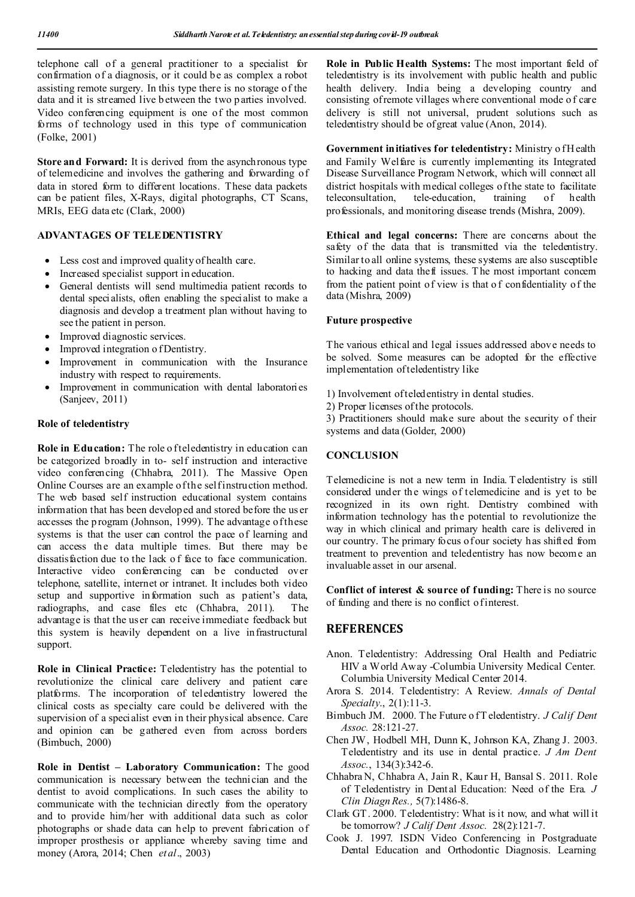telephone call of a general practitioner to a specialist for confirmation of a diagnosis, or it could be as complex a robot assisting remote surgery. In this type there is no storage of the data and it is streamed live b etween the two p arties involved. Video conferencing equipment is one of the most common forms of technology used in this type of communication (Folke, 2001)

**Store and Forward:** It is derived from the asynchronous type of telemedicine and involves the gathering and forwarding of data in stored form to different locations. These data packets can be patient files, X-Rays, digital photographs, CT Scans, MRIs, EEG data etc (Clark, 2000)

#### **ADVANTAGES OF TELEDENTISTRY**

- Less cost and improved quality of health care.
- Increased specialist support in education.
- General dentists will send multimedia patient records to dental specialists, often enabling the specialist to make a diagnosis and develop a treatment plan without having to see the patient in person.
- Improved diagnostic services.
- Improved integration of Dentistry.
- Improvement in communication with the Insurance industry with respect to requirements.
- Improvement in communication with dental laboratories (Sanjeev, 2011)

#### **Role of teledentistry**

Role in Education: The role of teledentistry in education can be categorized broadly in to- self instruction and interactive video conferencing (Chhabra, 2011). The Massive Open Online Courses are an example of the self instruction method. The web based self instruction educational system contains information that has been developed and stored before the us er accesses the p rogram (Johnson, 1999). The advantage of these systems is that the user can control the pace of learning and can access the data multiple times. But there may be dissatisfaction due to the lack o f face to face communication. Interactive video conferencing can be conducted over telephone, satellite, internet or intranet. It includes both video setup and supportive information such as patient's data, radiographs, and case files etc (Chhabra, 2011). The advantage is that the user can receive immediate feedback but this system is heavily dependent on a live infrastructural support.

**Role in Clinical Practice:** Teledentistry has the potential to revolutionize the clinical care delivery and patient care platforms. The incorporation of teledentistry lowered the clinical costs as specialty care could be delivered with the supervision of a specialist even in their physical absence. Care and opinion can be gathered even from across borders (Bimbuch, 2000)

**Role in Dentist – Laboratory Communication:** The good communication is necessary between the technician and the dentist to avoid complications. In such cases the ability to communicate with the technician directly from the operatory and to provide him/her with additional data such as color photographs or shade data can help to prevent fabrication of improper prosthesis or appliance whereby saving time and money (Arora, 2014; Chen *et al*., 2003)

**Role in Public Health Systems:** The most important field of teledentistry is its involvement with public health and public health delivery. India being a developing country and consisting of remote villages where conventional mode o f care delivery is still not universal, prudent solutions such as teledentistry should be of great value (Anon, 2014).

Government initiatives for teledentistry: Ministry of H ealth and Family Welfare is currently implementing its Integrated Disease Surveillance Program Network, which will connect all district hospitals with medical colleges of the state to facilitate teleconsultation, tele-education, training of health professionals, and monitoring disease trends (Mishra, 2009).

**Ethical and legal concerns:** There are concerns about the safety of the data that is transmitted via the teledentistry. Similar to all online systems, these systems are also susceptible to hacking and data theft issues. T he most important concern from the patient point of view is that o f confidentiality of the data (Mishra, 2009)

#### **Future prospective**

The various ethical and legal issues addressed above needs to be solved. Some measures can be adopted for the effective implementation of teledentistry like

- 1) Involvement of teledentistry in dental studies.
- 2) Proper licenses of the protocols.

3) Practitioners should make sure about the security of their systems and data (Golder, 2000)

#### **CONCLUSION**

Telemedicine is not a new term in India. T eledentistry is still considered under the wings of telemedicine and is yet to be recognized in its own right. Dentistry combined with information technology has the potential to revolutionize the way in which clinical and primary health care is delivered in our country. The primary focus of our society has shifted from treatment to prevention and teledentistry has now become an invaluable asset in our arsenal.

Conflict of interest & source of funding: There is no source of funding and there is no conflict of interest.

# **REFERENCES**

- Anon. Teledentistry: Addressing Oral Health and Pediatric HIV a World Away -Columbia University Medical Center. Columbia University Medical Center 2014.
- Arora S. 2014. Teledentistry: A Review. *Annals of Dental Specialty*., 2(1):11-3.
- Bimbuch JM. 2000. The Future o f T eledentistry. *J Calif Dent Assoc.* 28:121-27.
- Chen JW, Hodbell MH, Dunn K, Johnson KA, Zhang J. 2003. Teledentistry and its use in dental practice. *J Am Dent Assoc.*, 134(3):342-6.
- Chhabra N, Chhabra A, Jain R, Kaur H, Bansal S. 2011. Role of Teledentistry in Dental Education: Need of the Era. *J Clin Diagn Res.,* 5(7):1486-8.
- Clark GT. 2000. Teledentistry: What is it now, and what will it be tomorrow? *J Calif Dent Assoc.* 28(2):121-7.
- Cook J. 1997. ISDN Video Conferencing in Postgraduate Dental Education and Orthodontic Diagnosis. Learning